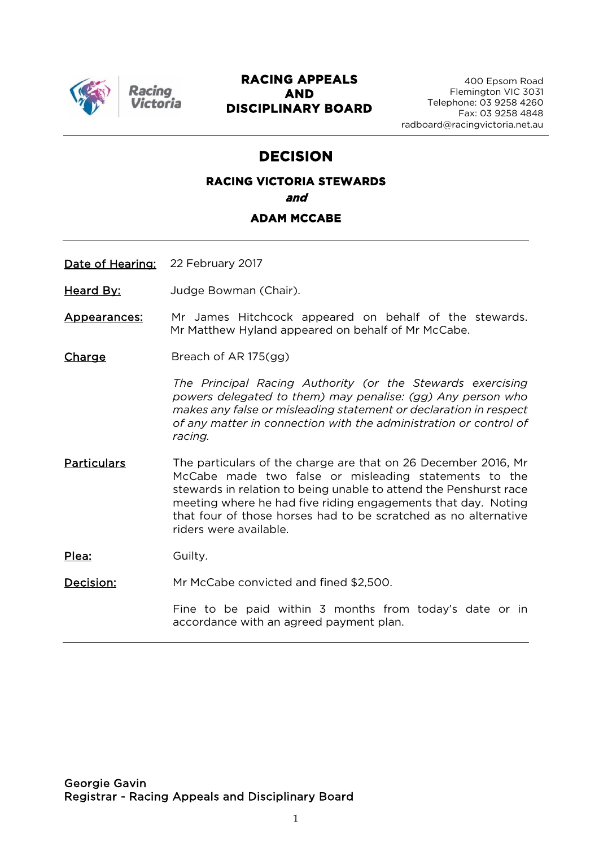

Racino

#### **RACING APPEALS AND DISCIPLINARY BOARD**

400 Epsom Road Flemington VIC 3031 Telephone: 03 9258 4260 Fax: 03 9258 4848 radboard@racingvictoria.net.au

## **DECISION**

## **RACING VICTORIA STEWARDS and ADAM MCCABE**

Date of Hearing: 22 February 2017

Heard By: **Judge Bowman (Chair)**.

Appearances: Mr James Hitchcock appeared on behalf of the stewards. Mr Matthew Hyland appeared on behalf of Mr McCabe.

Charge Breach of AR 175(gg)

*The Principal Racing Authority (or the Stewards exercising powers delegated to them) may penalise: (gg) Any person who makes any false or misleading statement or declaration in respect of any matter in connection with the administration or control of racing.*

Particulars The particulars of the charge are that on 26 December 2016, Mr McCabe made two false or misleading statements to the stewards in relation to being unable to attend the Penshurst race meeting where he had five riding engagements that day. Noting that four of those horses had to be scratched as no alternative riders were available.

Plea: Guilty.

Decision: Mr McCabe convicted and fined \$2,500.

Fine to be paid within 3 months from today's date or in accordance with an agreed payment plan.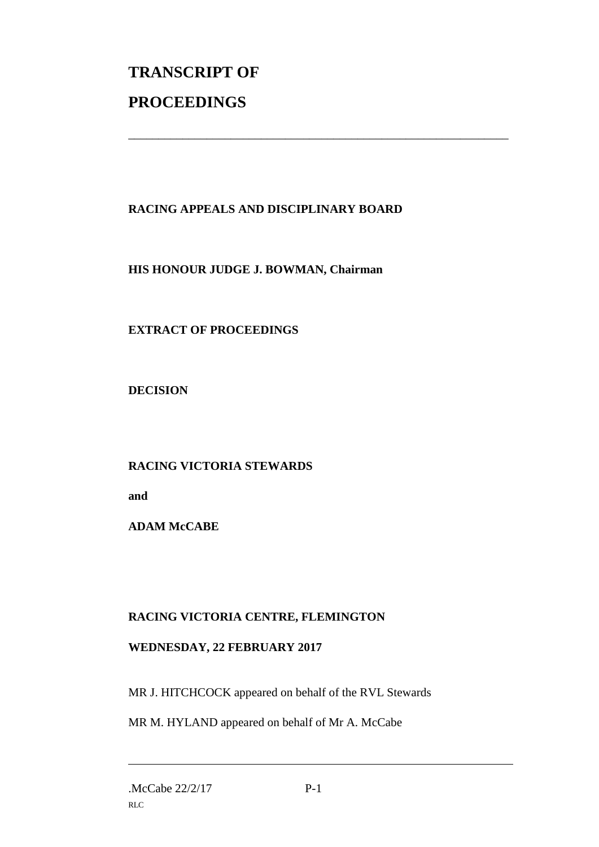# **TRANSCRIPT OF PROCEEDINGS**

## **RACING APPEALS AND DISCIPLINARY BOARD**

\_\_\_\_\_\_\_\_\_\_\_\_\_\_\_\_\_\_\_\_\_\_\_\_\_\_\_\_\_\_\_\_\_\_\_\_\_\_\_\_\_\_\_\_\_\_\_\_\_\_\_\_\_\_\_\_\_\_\_\_\_\_\_

#### **HIS HONOUR JUDGE J. BOWMAN, Chairman**

#### **EXTRACT OF PROCEEDINGS**

**DECISION**

#### **RACING VICTORIA STEWARDS**

**and** 

**ADAM McCABE**

#### **RACING VICTORIA CENTRE, FLEMINGTON**

#### **WEDNESDAY, 22 FEBRUARY 2017**

MR J. HITCHCOCK appeared on behalf of the RVL Stewards

MR M. HYLAND appeared on behalf of Mr A. McCabe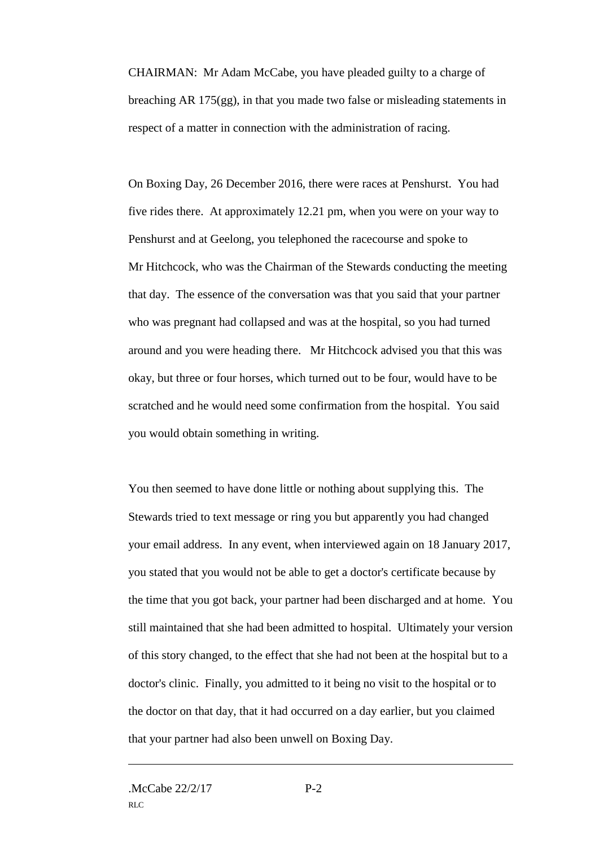CHAIRMAN: Mr Adam McCabe, you have pleaded guilty to a charge of breaching AR 175(gg), in that you made two false or misleading statements in respect of a matter in connection with the administration of racing.

On Boxing Day, 26 December 2016, there were races at Penshurst. You had five rides there. At approximately 12.21 pm, when you were on your way to Penshurst and at Geelong, you telephoned the racecourse and spoke to Mr Hitchcock, who was the Chairman of the Stewards conducting the meeting that day. The essence of the conversation was that you said that your partner who was pregnant had collapsed and was at the hospital, so you had turned around and you were heading there. Mr Hitchcock advised you that this was okay, but three or four horses, which turned out to be four, would have to be scratched and he would need some confirmation from the hospital. You said you would obtain something in writing.

You then seemed to have done little or nothing about supplying this. The Stewards tried to text message or ring you but apparently you had changed your email address. In any event, when interviewed again on 18 January 2017, you stated that you would not be able to get a doctor's certificate because by the time that you got back, your partner had been discharged and at home. You still maintained that she had been admitted to hospital. Ultimately your version of this story changed, to the effect that she had not been at the hospital but to a doctor's clinic. Finally, you admitted to it being no visit to the hospital or to the doctor on that day, that it had occurred on a day earlier, but you claimed that your partner had also been unwell on Boxing Day.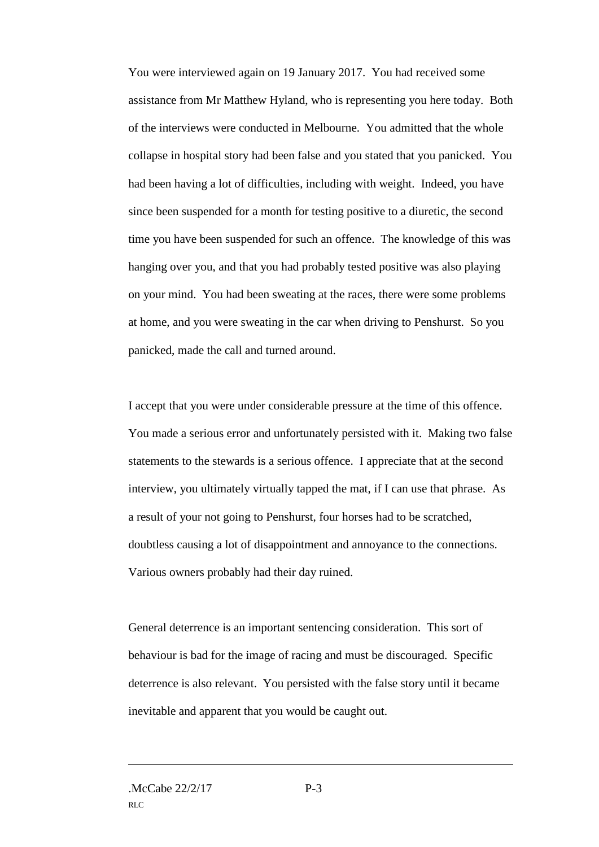You were interviewed again on 19 January 2017. You had received some assistance from Mr Matthew Hyland, who is representing you here today. Both of the interviews were conducted in Melbourne. You admitted that the whole collapse in hospital story had been false and you stated that you panicked. You had been having a lot of difficulties, including with weight. Indeed, you have since been suspended for a month for testing positive to a diuretic, the second time you have been suspended for such an offence. The knowledge of this was hanging over you, and that you had probably tested positive was also playing on your mind. You had been sweating at the races, there were some problems at home, and you were sweating in the car when driving to Penshurst. So you panicked, made the call and turned around.

I accept that you were under considerable pressure at the time of this offence. You made a serious error and unfortunately persisted with it. Making two false statements to the stewards is a serious offence. I appreciate that at the second interview, you ultimately virtually tapped the mat, if I can use that phrase. As a result of your not going to Penshurst, four horses had to be scratched, doubtless causing a lot of disappointment and annoyance to the connections. Various owners probably had their day ruined.

General deterrence is an important sentencing consideration. This sort of behaviour is bad for the image of racing and must be discouraged. Specific deterrence is also relevant. You persisted with the false story until it became inevitable and apparent that you would be caught out.